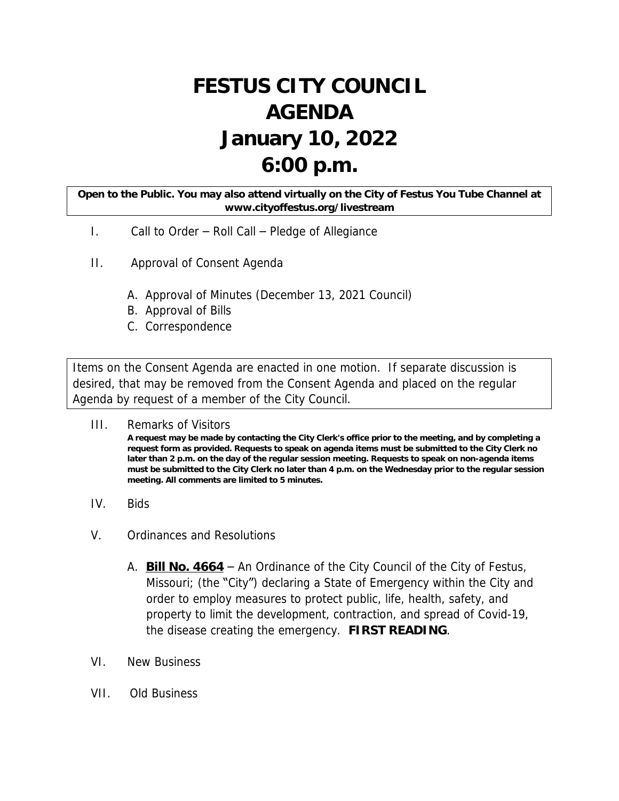## **FESTUS CITY COUNCIL AGENDA January 10, 2022 6:00 p.m.**

## **Open to the Public. You may also attend virtually on the City of Festus You Tube Channel at www.cityoffestus.org/livestream**

- I. Call to Order Roll Call Pledge of Allegiance
- II. Approval of Consent Agenda
	- A. Approval of Minutes (December 13, 2021 Council)
	- B. Approval of Bills
	- C. Correspondence

Items on the Consent Agenda are enacted in one motion. If separate discussion is desired, that may be removed from the Consent Agenda and placed on the regular Agenda by request of a member of the City Council.

- III. Remarks of Visitors **A request may be made by contacting the City Clerk's office prior to the meeting, and by completing a request form as provided. Requests to speak on agenda items must be submitted to the City Clerk no later than 2 p.m. on the day of the regular session meeting. Requests to speak on non-agenda items must be submitted to the City Clerk no later than 4 p.m. on the Wednesday prior to the regular session meeting. All comments are limited to 5 minutes.**
- IV. Bids
- V. Ordinances and Resolutions
	- A. **Bill No. 4664** An Ordinance of the City Council of the City of Festus, Missouri; (the "City") declaring a State of Emergency within the City and order to employ measures to protect public, life, health, safety, and property to limit the development, contraction, and spread of Covid-19, the disease creating the emergency. **FIRST READING**.
- VI. New Business
- VII. Old Business